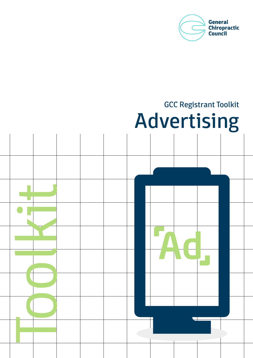

# GCC Registrant Toolkit Advertising

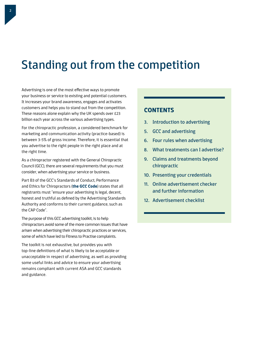## Standing out from the competition

Advertising is one of the most effective ways to promote your business or service to existing and potential customers. It increases your brand awareness, engages and activates customers and helps you to stand out from the competition. These reasons alone explain why the UK spends over £23 billion each year across the various advertising types.

For the chiropractic profession, a considered benchmark for marketing and communication activity (practice-based) is between 3-5% of gross income. Therefore, it is essential that you advertise to the right people in the right place and at the right time.

As a chiropractor registered with the General Chiropractic Council (GCC), there are several requirements that you must consider, when advertising your service or business.

Part B3 of the GCC's Standards of Conduct, Performance and Ethics for Chiropractors (**[the GCC Code](http://www.gcc-uk.org/the-code)**) states that all registrants must "ensure your advertising is legal, decent, honest and truthful as defined by the Advertising Standards Authority and conforms to their current guidance, such as the CAP Code".

The purpose of this GCC advertising toolkit, is to help chiropractors avoid some of the more common issues that have arisen when advertising their chiropractic practices or services, some of which have led to Fitness to Practise complaints.

The toolkit is not exhaustive, but provides you with top-line definitions of what is likely to be acceptable or unacceptable in respect of advertising, as well as providing some useful links and advice to ensure your advertising remains compliant with current ASA and GCC standards and guidance.

### **CONTENTS**

- 3. Introduction to advertising
- 5. GCC and advertising
- 6. Four rules when advertising
- 8. What treatments can I advertise?
- 9. Claims and treatments beyond chiropractic
- 10. Presenting your credentials
- 11. Online advertisement checker and further information
- 12. Advertisement checklist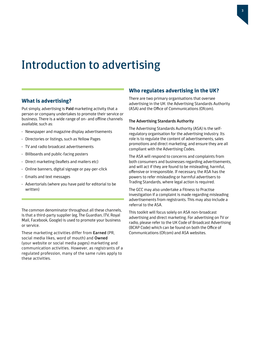### Introduction to advertising

#### **What is advertising?**

Put simply, advertising is Paid marketing activity that a person or company undertakes to promote their service or business. There is a wide range of on- and offline channels available, such as:

- Newspaper and magazine display advertisements
- Directories or listings, such as Yellow Pages
- TV and radio broadcast advertisements
- Billboards and public-facing posters
- Direct marketing (leaflets and mailers etc)
- Online banners, digital signage or pay-per-click
- Emails and text messages
- Advertorials (where you have paid for editorial to be written)

The common denominator throughout all these channels, is that a third-party supplier (eg, The Guardian, ITV, Royal Mail, Facebook, Google) is used to promote your business or service.

These marketing activities differ from Earned (PR, social media likes, word of mouth) and Owned (your website or social media pages) marketing and communication activities. However, as registrants of a regulated profession, many of the same rules apply to these activities.

#### **Who regulates advertising in the UK?**

There are two primary organisations that oversee advertising in the UK: the Advertising Standards Authority (ASA) and the Office of Communications (Ofcom).

#### The Advertising Standards Authority

The Advertising Standards Authority (ASA) is the selfregulatory organisation for the advertising industry. Its role is to regulate the content of advertisements, sales promotions and direct marketing, and ensure they are all compliant with the Advertising Codes.

The ASA will respond to concerns and complaints from both consumers and businesses regarding advertisements, and will act if they are found to be misleading, harmful, offensive or irresponsible. If necessary, the ASA has the powers to refer misleading or harmful advertisers to Trading Standards, where legal action is required.

The GCC may also undertake a Fitness to Practise investigation if a complaint is made regarding misleading advertisements from registrants. This may also include a referral to the ASA.

This toolkit will focus solely on ASA non-broadcast advertising and direct marketing. For advertising on TV or radio, please refer to the UK Code of Broadcast Advertising (BCAP Code) which can be found on both the Office of Communications (Ofcom) and ASA websites.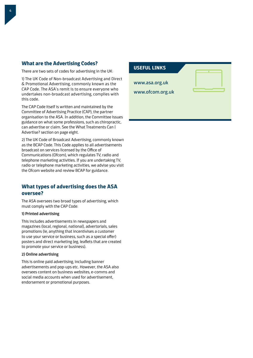#### **What are the Advertising Codes?**

There are two sets of codes for advertising in the UK:

1) The UK Code of Non-broadcast Advertising and Direct & Promotional Advertising, commonly known as the CAP Code. The ASA's remit is to ensure everyone who undertakes non-broadcast advertising, complies with this code.

The CAP Code itself is written and maintained by the Committee of Advertising Practice (CAP), the partner organisation to the ASA. In addition, the Committee issues guidance on what some professions, such as chiropractic, can advertise or claim. See the What Treatments Can I Advertise? section on page eight.

2) The UK Code of Broadcast Advertising, commonly known as the BCAP Code. This Code applies to all advertisements broadcast on services licensed by the Office of Communications (Ofcom), which regulates TV, radio and telephone marketing activities. If you are undertaking TV, radio or telephone marketing activities, we advise you visit the Ofcom website and review BCAP for guidance.

#### **What types of advertising does the ASA oversee?**

The ASA oversees two broad types of advertising, which must comply with the CAP Code:

#### 1) Printed advertising

This includes advertisements in newspapers and magazines (local, regional, national), advertorials, sales promotions (ie, anything that incentivises a customer to use your service or business, such as a special offer) posters and direct marketing (eg, leaflets that are created to promote your service or business).

#### 2) Online advertising

This is online paid advertising, including banner advertisements and pop-ups etc. However, the ASA also oversees content on business websites, e-comms and social media accounts when used for advertisement, endorsement or promotional purposes.

# **USEFUL LINKS** www.asa.org.uk www.ofcom.org.uk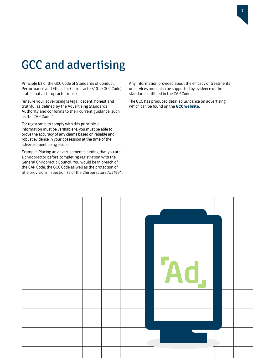# GCC and advertising

Principle B3 of the GCC Code of Standards of Conduct, Performance and Ethics for Chiropractors' (the GCC Code) states that a chiropractor must:

"ensure your advertising is legal, decent, honest and truthful as defined by the Advertising Standards Authority and conforms to their current guidance, such as the CAP Code."

For registrants to comply with this principle, all information must be verifiable ie, you must be able to prove the accuracy of any claims based on reliable and robust evidence in your possession at the time of the advertisement being issued.

Example: Placing an advertisement claiming that you are a chiropractor before completing registration with the General Chiropractic Council. You would be in breach of the CAP Code, the GCC Code as well as the protection of title provisions in Section 32 of the Chiropractors Act 1994. Any information provided about the efficacy of treatments or services must also be supported by evidence of the standards outlined in the CAP Code.

The GCC has produced detailed Guidance on advertising which can be found on the **[GCC website](http://www.gcc-uk.org)**.

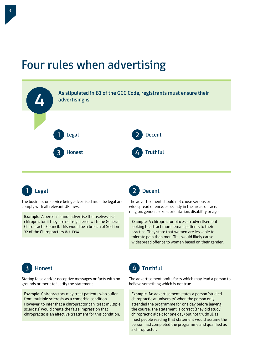### Four rules when advertising





The business or service being advertised must be legal and comply with all relevant UK laws.

Example: A person cannot advertise themselves as a chiropractor if they are not registered with the General Chiropractic Council. This would be a breach of Section 32 of the Chiropractors Act 1994.



The advertisement should not cause serious or widespread offence, especially in the areas of race, religion, gender, sexual orientation, disability or age.

Example: A chiropractor places an advertisement looking to attract more female patients to their practice. They state that women are less able to tolerate pain than men. This would likely cause widespread offence to women based on their gender.



Stating false and/or deceptive messages or facts with no grounds or merit to justify the statement.

Example: Chiropractors may treat patients who suffer from multiple sclerosis as a comorbid condition. However, to infer that a chiropractor can 'treat multiple sclerosis' would create the false impression that chiropractic is an effective treatment for this condition.



The advertisement omits facts which may lead a person to believe something which is not true.

Example: An advertisement states a person 'studied chiropractic at university' when the person only attended the programme for one day before leaving the course. The statement is correct (they did study chiropractic albeit for one day) but not truthful, as most people reading that statement would assume the person had completed the programme and qualified as a chiropractor.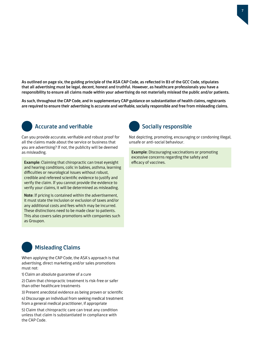As outlined on page six, the guiding principle of the ASA CAP Code, as reflected in B3 of the GCC Code, stipulates that all advertising must be legal, decent, honest and truthful. However, as healthcare professionals you have a responsibility to ensure all claims made within your advertising do not materially mislead the public and/or patients.

As such, throughout the CAP Code, and in supplementary CAP guidance on substantiation of health claims, registrants are required to ensure their advertising is accurate and verifiable, socially responsible and free from misleading claims.



Can you provide accurate, verifiable and robust proof for all the claims made about the service or business that you are advertising? If not, the publicity will be deemed as misleading.

Example: Claiming that chiropractic can treat eyesight and hearing conditions, colic in babies, asthma, learning difficulties or neurological issues without robust, credible and refereed scientific evidence to justify and verify the claim. If you cannot provide the evidence to verify your claims, it will be determined as misleading.

Note: If pricing is contained within the advertisement, it must state the inclusion or exclusion of taxes and/or any additional costs and fees which may be incurred. These distinctions need to be made clear to patients. This also covers sales promotions with companies such as Groupon.

### Misleading Claims

When applying the CAP Code, the ASA's approach is that advertising, direct marketing and/or sales promotions must not:

1) Claim an absolute guarantee of a cure

2) Claim that chiropractic treatment is risk-free or safer than other healthcare treatments

3) Present anecdotal evidence as being proven or scientific

4) Discourage an individual from seeking medical treatment from a general medical practitioner, if appropriate

5) Claim that chiropractic care can treat any condition unless that claim is substantiated in compliance with the CAP Code.



Not depicting, promoting, encouraging or condoning illegal, unsafe or anti-social behaviour.

Example: Discouraging vaccinations or promoting excessive concerns regarding the safety and efficacy of vaccines.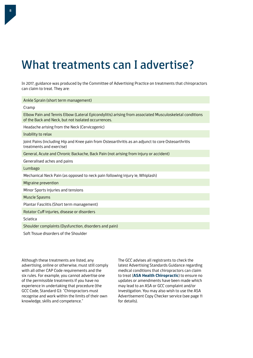# What treatments can I advertise?

In 2017, guidance was produced by the Committee of Advertising Practice on treatments that chiropractors can claim to treat. They are:

| Ankle Sprain (short term management)                                                                                                                          |  |  |  |  |  |
|---------------------------------------------------------------------------------------------------------------------------------------------------------------|--|--|--|--|--|
| Cramp                                                                                                                                                         |  |  |  |  |  |
| Elbow Pain and Tennis Elbow (Lateral Epicondylitis) arising from associated Musculoskeletal conditions<br>of the Back and Neck, but not isolated occurrences. |  |  |  |  |  |
| Headache arising from the Neck (Cervicogenic)                                                                                                                 |  |  |  |  |  |
| Inability to relax                                                                                                                                            |  |  |  |  |  |
| Joint Pains (including Hip and Knee pain from Osteoarthritis as an adjunct to core Osteoarthritis<br>treatments and exercise)                                 |  |  |  |  |  |
| General, Acute and Chronic Backache, Back Pain (not arising from injury or accident)                                                                          |  |  |  |  |  |
| Generalised aches and pains                                                                                                                                   |  |  |  |  |  |
| Lumbago                                                                                                                                                       |  |  |  |  |  |
| Mechanical Neck Pain (as opposed to neck pain following injury ie, Whiplash)                                                                                  |  |  |  |  |  |
| Migraine prevention                                                                                                                                           |  |  |  |  |  |
| Minor Sports injuries and tensions                                                                                                                            |  |  |  |  |  |
| <b>Muscle Spasms</b>                                                                                                                                          |  |  |  |  |  |
| Plantar Fasciitis (Short term management)                                                                                                                     |  |  |  |  |  |
| Rotator Cuff injuries, disease or disorders                                                                                                                   |  |  |  |  |  |
| Sciatica                                                                                                                                                      |  |  |  |  |  |
| Shoulder complaints (Dysfunction, disorders and pain)                                                                                                         |  |  |  |  |  |
| Soft Tissue disorders of the Shoulder                                                                                                                         |  |  |  |  |  |

Although these treatments are listed, any advertising, online or otherwise, must still comply with all other CAP Code requirements and the six rules. For example, you cannot advertise one of the permissible treatments if you have no experience in undertaking that procedure (the GCC Code, Standard G3: "Chiropractors must recognise and work within the limits of their own knowledge, skills and competence."

The GCC advises all registrants to check the latest Advertising Standards Guidance regarding medical conditions that chiropractors can claim to treat (**[ASA Health Chiropractic](https://www.asa.org.uk/advice-online/health-chiropractic.html)**) to ensure no updates or amendments have been made which may lead to an ASA or GCC complaint and/or investigation. You may also wish to use the ASA Advertisement Copy Checker service (see page 11 for details).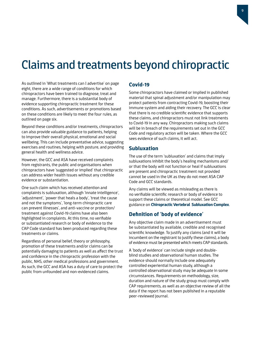## Claims and treatments beyond chiropractic

As outlined in 'What treatments can I advertise' on page eight, there are a wide range of conditions for which chiropractors have been trained to diagnose, treat and manage. Furthermore, there is a substantial body of evidence supporting chiropractic treatment for these conditions. As such, advertisements or promotions based on these conditions are likely to meet the four rules, as outlined on page six.

Beyond these conditions and/or treatments, chiropractors can also provide valuable guidance to patients, helping to improve their overall physical, emotional and social wellbeing. This can include preventative advice, suggesting exercises and routines, helping with posture, and providing general health and wellness advice.

However, the GCC and ASA have received complaints from registrants, the public and organisations when chiropractors have 'suggested or implied' that chiropractic can address wider health issues without any credible evidence or substantiation.

One such claim which has received attention and complaints is subluxation, although 'innate intelligence', 'adjustment', 'power that heals a body', 'treat the cause and not the symptoms', 'long-term chiropractic care can prevent illnesses', and anti-vaccine or protection/ treatment against Covid-19 claims have also been highlighted in complaints. At this time, no verifiable or substantiated research or body of evidence to the CAP Code standard has been produced regarding these treatments or claims.

Regardless of personal belief, theory or philosophy, promotion of these treatments and/or claims can be potentially damaging to patients as well as affect the trust and confidence in the chiropractic profession with the public, NHS, other medical professions and government. As such, the GCC and ASA has a duty of care to protect the public from unfounded and non-evidenced claims.

#### **Covid-19**

Some chiropractors have claimed or implied in published material that spinal adjustment and/or manipulation may protect patients from contracting Covid-19, boosting their immune system and aiding their recovery. The GCC is clear that there is no credible scientific evidence that supports these claims, and chiropractors must not link treatments to Covid-19 in any way. Chiropractors making such claims will be in breach of the requirements set out in the GCC Code and regulatory action will be taken. Where the GCC sees evidence of such claims, it will act.

#### **Subluxation**

The use of the term 'subluxation' and claims that imply subluxations inhibit the body's healing mechanisms and/ or that the body will not function or heal if subluxations are present and chiropractic treatment not provided cannot be used in the UK as they do not meet ASA CAP Code and GCC standards.

Any claims will be viewed as misleading as there is no verifiable scientific research or body of evidence to support these claims or theoretical model. See GCC guidance on **[Chiropractic Vertebral Subluxation Complex](http://www.gcc-uk.org/guidance-subluxation)**.

### **Definition of 'body of evidence'**

Any objective claim made in an advertisement must be substantiated by available, credible and recognised scientific knowledge. To justify any claims (and it will be incumbent on the registrant to justify these claims), a body of evidence must be presented which meets CAP standards.

A 'body of evidence' can include single and doubleblind studies and observational human studies. The evidence should normally include one adequately controlled experiential human study, although a controlled observational study may be adequate in some circumstances. Requirements on methodology, size, duration and nature of the study group must comply with CAP requirements, as well as an objective review of all the data if the report has not been published in a reputable peer-reviewed journal.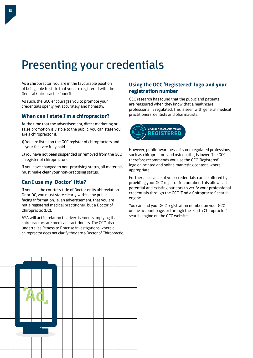# Presenting your credentials

As a chiropractor, you are in the favourable position of being able to state that you are registered with the General Chiropractic Council.

As such, the GCC encourages you to promote your credentials openly, yet accurately and honestly.

#### **When can I state I'm a chiropractor?**

At the time that the advertisement, direct marketing or sales promotion is visible to the public, you can state you are a chiropractor if:

- 1) You are listed on the GCC register of chiropractors and your fees are fully paid
- 2)You have not been suspended or removed from the GCC register of chiropractors

If you have changed to non-practising status, all materials must make clear your non-practising status.

### **Can I use my 'Doctor' title?**

If you use the courtesy title of Doctor or its abbreviation Dr or DC, you must state clearly within any publicfacing information, ie. an advertisement, that you are not a registered medical practitioner, but a Doctor of Chiropractic (DC).

ASA will act in relation to advertisements implying that chiropractors are medical practitioners. The GCC also undertakes Fitness to Practise investigations where a chiropractor does not clarify they are a Doctor of Chiropractic.

### **Using the GCC 'Registered' logo and your registration number**

GCC research has found that the public and patients are reassured when they know that a healthcare professional is regulated. This is seen with general medical practitioners, dentists and pharmacists.



However, public awareness of some regulated professions, such as chiropractors and osteopaths, is lower. The GCC therefore recommends you use the GCC 'Registered' logo on printed and online marketing content, where appropriate.

Further assurance of your credentials can be offered by providing your GCC registration number. This allows all potential and existing patients to verify your professional credentials through the GCC 'Find a Chiropractor' search engine.

You can find your GCC registration number on your GCC online account page, or through the 'Find a Chiropractor' search engine on the GCC website.

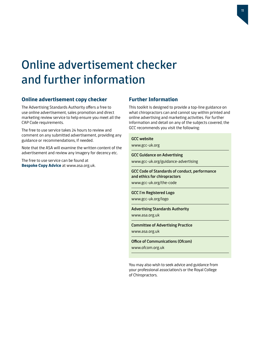# Online advertisement checker and further information

#### **Online advertisement copy checker**

The Advertising Standards Authority offers a free to use online advertisement, sales promotion and direct marketing review service to help ensure you meet all the CAP Code requirements.

The free to use service takes 24 hours to review and comment on any submitted advertisement, providing any guidance or recommendations, if needed.

Note that the ASA will examine the written content of the advertisement and review any imagery for decency etc.

The free to use service can be found at **[Bespoke Copy Advice](https://www.asa.org.uk/advice-and-resources/bespoke-copy-advice.html)** at www.asa.org.uk.

#### **Further Information**

This toolkit is designed to provide a top-line guidance on what chiropractors can and cannot say within printed and online advertising and marketing activities. For further information and detail on any of the subjects covered, the GCC recommends you visit the following:

#### GCC website

www.gcc-uk.org

#### GCC Guidance on Advertising

www.gcc-uk.org/guidance-advertising

GCC Code of Standards of conduct, performance and ethics for chiropractors www.gcc-uk.org/the-code

GCC I'm Registered Logo www.gcc-uk.org/logo

Advertising Standards Authority

www.asa.org.uk

Committee of Advertising Practice www.asa.org.uk

Office of Communications (Ofcom) www.ofcom.org.uk

You may also wish to seek advice and guidance from your professional association/s or the Royal College of Chiropractors.